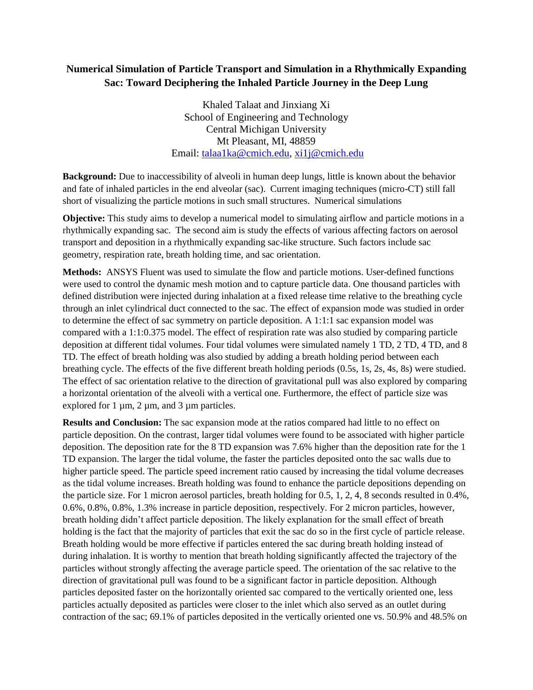## **Numerical Simulation of Particle Transport and Simulation in a Rhythmically Expanding Sac: Toward Deciphering the Inhaled Particle Journey in the Deep Lung**

Khaled Talaat and Jinxiang Xi School of Engineering and Technology Central Michigan University Mt Pleasant, MI, 48859 Email: [talaa1ka@cmich.edu,](mailto:talaa1ka@cmich.edu) [xi1j@cmich.edu](mailto:xi1j@cmich.edu)

**Background:** Due to inaccessibility of alveoli in human deep lungs, little is known about the behavior and fate of inhaled particles in the end alveolar (sac). Current imaging techniques (micro-CT) still fall short of visualizing the particle motions in such small structures. Numerical simulations

**Objective:** This study aims to develop a numerical model to simulating airflow and particle motions in a rhythmically expanding sac. The second aim is study the effects of various affecting factors on aerosol transport and deposition in a rhythmically expanding sac-like structure. Such factors include sac geometry, respiration rate, breath holding time, and sac orientation.

**Methods:** ANSYS Fluent was used to simulate the flow and particle motions. User-defined functions were used to control the dynamic mesh motion and to capture particle data. One thousand particles with defined distribution were injected during inhalation at a fixed release time relative to the breathing cycle through an inlet cylindrical duct connected to the sac. The effect of expansion mode was studied in order to determine the effect of sac symmetry on particle deposition. A 1:1:1 sac expansion model was compared with a 1:1:0.375 model. The effect of respiration rate was also studied by comparing particle deposition at different tidal volumes. Four tidal volumes were simulated namely 1 TD, 2 TD, 4 TD, and 8 TD. The effect of breath holding was also studied by adding a breath holding period between each breathing cycle. The effects of the five different breath holding periods (0.5s, 1s, 2s, 4s, 8s) were studied. The effect of sac orientation relative to the direction of gravitational pull was also explored by comparing a horizontal orientation of the alveoli with a vertical one. Furthermore, the effect of particle size was explored for 1  $\mu$ m, 2  $\mu$ m, and 3  $\mu$ m particles.

**Results and Conclusion:** The sac expansion mode at the ratios compared had little to no effect on particle deposition. On the contrast, larger tidal volumes were found to be associated with higher particle deposition. The deposition rate for the 8 TD expansion was 7.6% higher than the deposition rate for the 1 TD expansion. The larger the tidal volume, the faster the particles deposited onto the sac walls due to higher particle speed. The particle speed increment ratio caused by increasing the tidal volume decreases as the tidal volume increases. Breath holding was found to enhance the particle depositions depending on the particle size. For 1 micron aerosol particles, breath holding for 0.5, 1, 2, 4, 8 seconds resulted in 0.4%, 0.6%, 0.8%, 0.8%, 1.3% increase in particle deposition, respectively. For 2 micron particles, however, breath holding didn't affect particle deposition. The likely explanation for the small effect of breath holding is the fact that the majority of particles that exit the sac do so in the first cycle of particle release. Breath holding would be more effective if particles entered the sac during breath holding instead of during inhalation. It is worthy to mention that breath holding significantly affected the trajectory of the particles without strongly affecting the average particle speed. The orientation of the sac relative to the direction of gravitational pull was found to be a significant factor in particle deposition. Although particles deposited faster on the horizontally oriented sac compared to the vertically oriented one, less particles actually deposited as particles were closer to the inlet which also served as an outlet during contraction of the sac; 69.1% of particles deposited in the vertically oriented one vs. 50.9% and 48.5% on